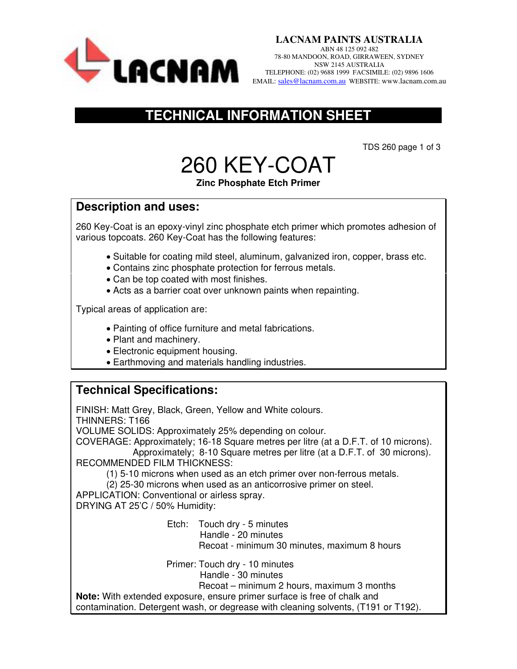

### **TECHNICAL INFORMATION SHEET**

TDS 260 page 1 of 3

# 260 KEY-COAT

#### **Zinc Phosphate Etch Primer**

#### **Description and uses:**

260 Key-Coat is an epoxy-vinyl zinc phosphate etch primer which promotes adhesion of various topcoats. 260 Key-Coat has the following features:

- Suitable for coating mild steel, aluminum, galvanized iron, copper, brass etc.
- Contains zinc phosphate protection for ferrous metals.
- Can be top coated with most finishes.
- Acts as a barrier coat over unknown paints when repainting.

Typical areas of application are:

- Painting of office furniture and metal fabrications.
- Plant and machinery.
- Electronic equipment housing.
- Earthmoving and materials handling industries.

#### **Technical Specifications:**

FINISH: Matt Grey, Black, Green, Yellow and White colours. THINNERS: T166

VOLUME SOLIDS: Approximately 25% depending on colour.

COVERAGE: Approximately; 16-18 Square metres per litre (at a D.F.T. of 10 microns).

 Approximately; 8-10 Square metres per litre (at a D.F.T. of 30 microns). RECOMMENDED FILM THICKNESS:

(1) 5-10 microns when used as an etch primer over non-ferrous metals.

(2) 25-30 microns when used as an anticorrosive primer on steel.

APPLICATION: Conventional or airless spray.

DRYING AT 25'C / 50% Humidity:

 Etch: Touch dry - 5 minutes Handle - 20 minutes Recoat - minimum 30 minutes, maximum 8 hours

Primer: Touch dry - 10 minutes

Handle - 30 minutes

Recoat – minimum 2 hours, maximum 3 months

**Note:** With extended exposure, ensure primer surface is free of chalk and

contamination. Detergent wash, or degrease with cleaning solvents, (T191 or T192).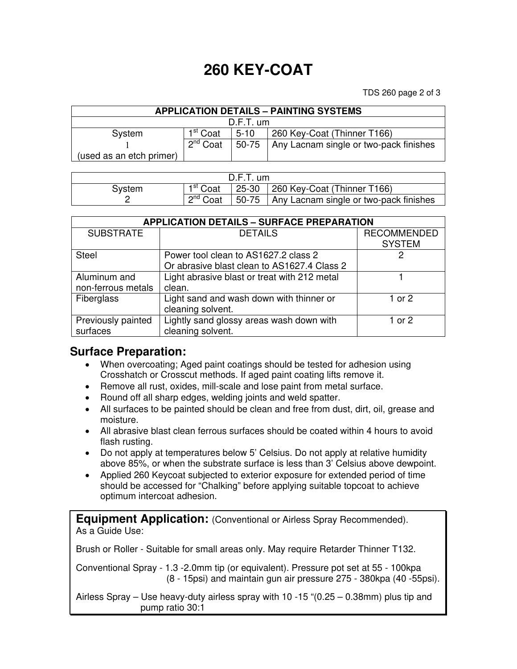## **260 KEY-COAT**

TDS 260 page 2 of 3

| <b>APPLICATION DETAILS - PAINTING SYSTEMS</b> |                      |        |                                                |  |  |  |  |
|-----------------------------------------------|----------------------|--------|------------------------------------------------|--|--|--|--|
| $D.F.T.$ um                                   |                      |        |                                                |  |  |  |  |
| System                                        | 1 <sup>st</sup> Coat | $5-10$ | 260 Key-Coat (Thinner T166)                    |  |  |  |  |
|                                               | ∩ת<br>Coat           |        | 50-75   Any Lacnam single or two-pack finishes |  |  |  |  |
| (used as an etch primer)                      |                      |        |                                                |  |  |  |  |

| $D.F.T.$ um |                      |  |                                              |  |  |
|-------------|----------------------|--|----------------------------------------------|--|--|
| System      | 1 <sup>st</sup> Coat |  | 25-30   260 Key-Coat (Thinner T166)          |  |  |
|             | $2^{nd}$ Coat        |  | 50-75 Any Lacnam single or two-pack finishes |  |  |

| <b>APPLICATION DETAILS - SURFACE PREPARATION</b> |                                                                                     |                                     |  |  |  |
|--------------------------------------------------|-------------------------------------------------------------------------------------|-------------------------------------|--|--|--|
| <b>SUBSTRATE</b>                                 | <b>DETAILS</b>                                                                      | <b>RECOMMENDED</b><br><b>SYSTEM</b> |  |  |  |
| <b>Steel</b>                                     | Power tool clean to AS1627.2 class 2<br>Or abrasive blast clean to AS1627.4 Class 2 |                                     |  |  |  |
| Aluminum and<br>non-ferrous metals               | Light abrasive blast or treat with 212 metal<br>clean.                              |                                     |  |  |  |
| Fiberglass                                       | Light sand and wash down with thinner or<br>cleaning solvent.                       | 1 or 2                              |  |  |  |
| Previously painted<br>surfaces                   | Lightly sand glossy areas wash down with<br>cleaning solvent.                       | 1 or $2$                            |  |  |  |

#### **Surface Preparation:**

- When overcoating; Aged paint coatings should be tested for adhesion using Crosshatch or Crosscut methods. If aged paint coating lifts remove it.
- Remove all rust, oxides, mill-scale and lose paint from metal surface.
- Round off all sharp edges, welding joints and weld spatter.
- All surfaces to be painted should be clean and free from dust, dirt, oil, grease and moisture.
- All abrasive blast clean ferrous surfaces should be coated within 4 hours to avoid flash rusting.
- Do not apply at temperatures below 5' Celsius. Do not apply at relative humidity above 85%, or when the substrate surface is less than 3' Celsius above dewpoint.
- Applied 260 Keycoat subjected to exterior exposure for extended period of time should be accessed for "Chalking" before applying suitable topcoat to achieve optimum intercoat adhesion.

**Equipment Application:** (Conventional or Airless Spray Recommended). As a Guide Use:

Brush or Roller - Suitable for small areas only. May require Retarder Thinner T132.

Conventional Spray - 1.3 -2.0mm tip (or equivalent). Pressure pot set at 55 - 100kpa (8 - 15psi) and maintain gun air pressure 275 - 380kpa (40 -55psi).

Airless Spray – Use heavy-duty airless spray with 10 -15 "(0.25 – 0.38mm) plus tip and pump ratio 30:1